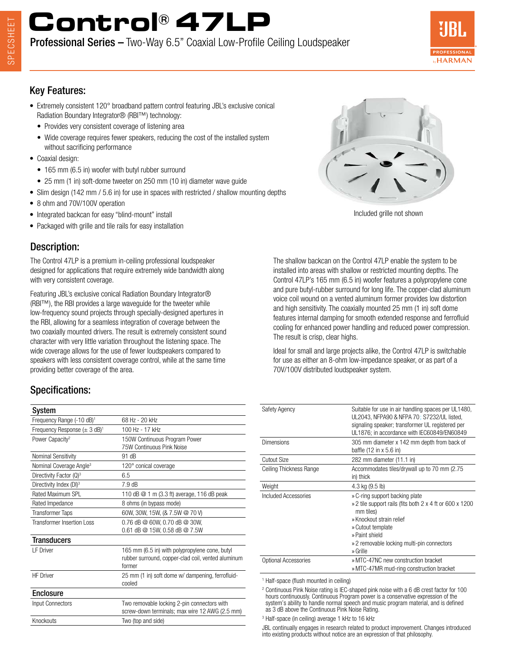# **Control® 47LP**

Professional Series – Two-Way 6.5" Coaxial Low-Profile Ceiling Loudspeaker



### Key Features:

- Extremely consistent 120° broadband pattern control featuring JBL's exclusive conical Radiation Boundary Integrator® (RBI™) technology:
	- Provides very consistent coverage of listening area
	- Wide coverage requires fewer speakers, reducing the cost of the installed system without sacrificing performance
- Coaxial design:
	- 165 mm (6.5 in) woofer with butyl rubber surround
	- 25 mm (1 in) soft-dome tweeter on 250 mm (10 in) diameter wave guide
- Slim design (142 mm / 5.6 in) for use in spaces with restricted / shallow mounting depths
- 8 ohm and 70V/100V operation
- Integrated backcan for easy "blind-mount" install
- Packaged with grille and tile rails for easy installation

### Description:

The Control 47LP is a premium in-ceiling professional loudspeaker designed for applications that require extremely wide bandwidth along with very consistent coverage.

Featuring JBL's exclusive conical Radiation Boundary Integrator® (RBI™), the RBI provides a large waveguide for the tweeter while low-frequency sound projects through specially-designed apertures in the RBI, allowing for a seamless integration of coverage between the two coaxially mounted drivers. The result is extremely consistent sound character with very little variation throughout the listening space. The wide coverage allows for the use of fewer loudspeakers compared to speakers with less consistent coverage control, while at the same time providing better coverage of the area.

### Specifications:

| 68 Hz - 20 kHz                                                                                                 |
|----------------------------------------------------------------------------------------------------------------|
| 100 Hz - 17 kHz                                                                                                |
| 150W Continuous Program Power<br>75W Continuous Pink Noise                                                     |
| 91 dB                                                                                                          |
| 120° conical coverage                                                                                          |
| 6.5                                                                                                            |
| 7.9 dB                                                                                                         |
| 110 dB @ 1 m (3.3 ft) average, 116 dB peak                                                                     |
| 8 ohms (in bypass mode)                                                                                        |
| 60W, 30W, 15W, (& 7.5W @ 70 V)                                                                                 |
| 0.76 dB @ 60W, 0.70 dB @ 30W,<br>0.61 dB $@$ 15W, 0.58 dB $@$ 7.5W                                             |
|                                                                                                                |
| 165 mm (6.5 in) with polypropylene cone, butyl<br>rubber surround, copper-clad coil, vented aluminum<br>former |
| 25 mm (1 in) soft dome w/ dampening, ferrofluid-<br>cooled                                                     |
|                                                                                                                |
| Two removable locking 2-pin connectors with<br>screw-down terminals; max wire 12 AWG (2.5 mm)                  |
| Two (top and side)                                                                                             |
|                                                                                                                |

Included grille not shown

The shallow backcan on the Control 47LP enable the system to be installed into areas with shallow or restricted mounting depths. The Control 47LP's 165 mm (6.5 in) woofer features a polypropylene cone and pure butyl-rubber surround for long life. The copper-clad aluminum voice coil wound on a vented aluminum former provides low distortion and high sensitivity. The coaxially mounted 25 mm (1 in) soft dome features internal damping for smooth extended response and ferrofluid cooling for enhanced power handling and reduced power compression. The result is crisp, clear highs.

Ideal for small and large projects alike, the Control 47LP is switchable for use as either an 8-ohm low-impedance speaker, or as part of a 70V/100V distributed loudspeaker system.

| Safety Agency           | Suitable for use in air handling spaces per UL1480,<br>UL2043, NFPA90 & NFPA 70; S7232/UL listed,<br>signaling speaker; transformer UL registered per<br>UL1876; in accordance with IEC60849/EN60849                                  |
|-------------------------|---------------------------------------------------------------------------------------------------------------------------------------------------------------------------------------------------------------------------------------|
| <b>Dimensions</b>       | 305 mm diameter x 142 mm depth from back of<br>baffle $(12 \text{ in } x 5.6 \text{ in})$                                                                                                                                             |
| Cutout Size             | 282 mm diameter (11.1 in)                                                                                                                                                                                                             |
| Ceiling Thickness Range | Accommodates tiles/drywall up to 70 mm (2.75)<br>in) thick                                                                                                                                                                            |
| Weight                  | 4.3 kg (9.5 lb)                                                                                                                                                                                                                       |
| Included Accessories    | » C-ring support backing plate<br>» 2 tile support rails (fits both 2 x 4 ft or 600 x 1200)<br>mm tiles)<br>» Knockout strain relief<br>» Cutout template<br>» Paint shield<br>» 2 removable locking multi-pin connectors<br>» Grille |
| Optional Accessories    | » MTC-47NC new construction bracket<br>» MTC-47MR mud-ring construction bracket                                                                                                                                                       |
|                         |                                                                                                                                                                                                                                       |

1 Half-space (flush mounted in ceiling)

<sup>2</sup> Continuous Pink Noise rating is IEC-shaped pink noise with a 6 dB crest factor for 100 hours continuously. Continuous Program power is a conservative expression of the system's ability to handle normal speech and music program material, and is defined as 3 dB above the Continuous Pink Noise Rating.

3 Half-space (in ceiling) average 1 kHz to 16 kHz

JBL continually engages in research related to product improvement. Changes introduced into existing products without notice are an expression of that philosophy.